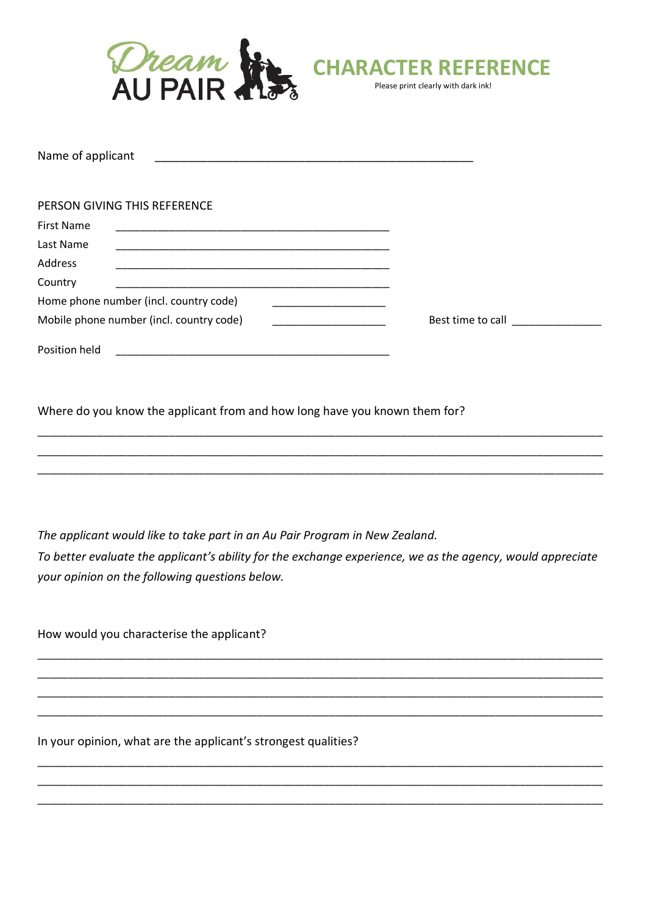

| Name of applicant                        |                                        |  |                   |  |
|------------------------------------------|----------------------------------------|--|-------------------|--|
| PERSON GIVING THIS REFERENCE             |                                        |  |                   |  |
| <b>First Name</b>                        |                                        |  |                   |  |
| Last Name                                |                                        |  |                   |  |
| Address                                  |                                        |  |                   |  |
| Country                                  |                                        |  |                   |  |
|                                          | Home phone number (incl. country code) |  |                   |  |
| Mobile phone number (incl. country code) |                                        |  | Best time to call |  |

Where do you know the applicant from and how long have you known them for?

The applicant would like to take part in an Au Pair Program in New Zealand. To better evaluate the applicant's ability for the exchange experience, we as the agency, would appreciate your opinion on the following questions below.

How would you characterise the applicant?

Position held

In your opinion, what are the applicant's strongest qualities?